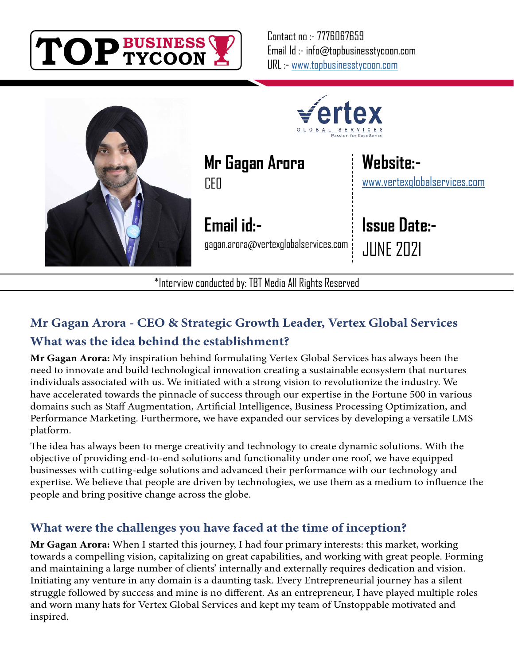

Contact no :- 7776067659 Email Id :- info@topbusinesstycoon.com URL :- [www.topbusinesstycoon.com](https://www.topbusinesstycoon.com/)



**Mr Gagan Arora CEO** 

**Email id:** gagan.arora@vertexglobalservices.com

\*Interview conducted by: TBT Media All Rights Reserved

**Website:** [www.vertexglobalservices.com](https://www.talentresourze.com/)

**Issue Date:-** JUNE 2021

# **Mr Gagan Arora - CEO & Strategic Growth Leader, Vertex Global Services What was the idea behind the establishment?**

**Mr Gagan Arora:** My inspiration behind formulating Vertex Global Services has always been the need to innovate and build technological innovation creating a sustainable ecosystem that nurtures individuals associated with us. We initiated with a strong vision to revolutionize the industry. We have accelerated towards the pinnacle of success through our expertise in the Fortune 500 in various domains such as Staff Augmentation, Artificial Intelligence, Business Processing Optimization, and Performance Marketing. Furthermore, we have expanded our services by developing a versatile LMS platform.

The idea has always been to merge creativity and technology to create dynamic solutions. With the objective of providing end-to-end solutions and functionality under one roof, we have equipped businesses with cutting-edge solutions and advanced their performance with our technology and expertise. We believe that people are driven by technologies, we use them as a medium to influence the people and bring positive change across the globe.

# **What were the challenges you have faced at the time of inception?**

**Mr Gagan Arora:** When I started this journey, I had four primary interests: this market, working towards a compelling vision, capitalizing on great capabilities, and working with great people. Forming and maintaining a large number of clients' internally and externally requires dedication and vision. Initiating any venture in any domain is a daunting task. Every Entrepreneurial journey has a silent struggle followed by success and mine is no different. As an entrepreneur, I have played multiple roles and worn many hats for Vertex Global Services and kept my team of Unstoppable motivated and inspired.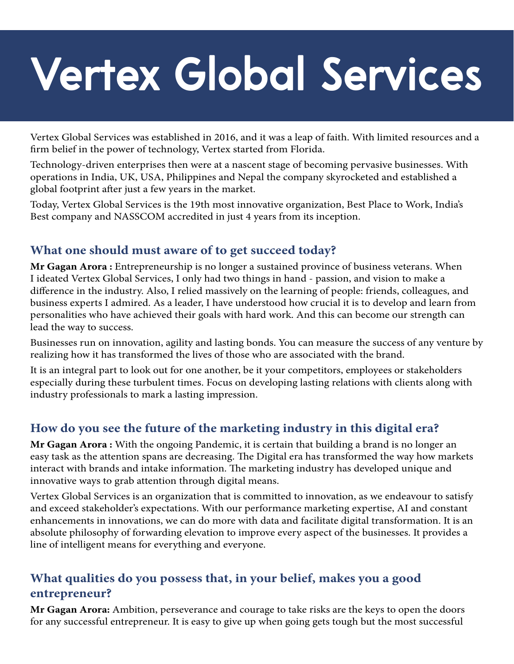# **Vertex Global Services**

Vertex Global Services was established in 2016, and it was a leap of faith. With limited resources and a firm belief in the power of technology, Vertex started from Florida.

Technology-driven enterprises then were at a nascent stage of becoming pervasive businesses. With operations in India, UK, USA, Philippines and Nepal the company skyrocketed and established a global footprint after just a few years in the market.

Today, Vertex Global Services is the 19th most innovative organization, Best Place to Work, India's Best company and NASSCOM accredited in just 4 years from its inception.

#### **What one should must aware of to get succeed today?**

**Mr Gagan Arora :** Entrepreneurship is no longer a sustained province of business veterans. When I ideated Vertex Global Services, I only had two things in hand - passion, and vision to make a difference in the industry. Also, I relied massively on the learning of people: friends, colleagues, and business experts I admired. As a leader, I have understood how crucial it is to develop and learn from personalities who have achieved their goals with hard work. And this can become our strength can lead the way to success.

Businesses run on innovation, agility and lasting bonds. You can measure the success of any venture by realizing how it has transformed the lives of those who are associated with the brand.

It is an integral part to look out for one another, be it your competitors, employees or stakeholders especially during these turbulent times. Focus on developing lasting relations with clients along with industry professionals to mark a lasting impression.

# **How do you see the future of the marketing industry in this digital era?**

**Mr Gagan Arora :** With the ongoing Pandemic, it is certain that building a brand is no longer an easy task as the attention spans are decreasing. The Digital era has transformed the way how markets interact with brands and intake information. The marketing industry has developed unique and innovative ways to grab attention through digital means.

Vertex Global Services is an organization that is committed to innovation, as we endeavour to satisfy and exceed stakeholder's expectations. With our performance marketing expertise, AI and constant enhancements in innovations, we can do more with data and facilitate digital transformation. It is an absolute philosophy of forwarding elevation to improve every aspect of the businesses. It provides a line of intelligent means for everything and everyone.

# **What qualities do you possess that, in your belief, makes you a good entrepreneur?**

**Mr Gagan Arora:** Ambition, perseverance and courage to take risks are the keys to open the doors for any successful entrepreneur. It is easy to give up when going gets tough but the most successful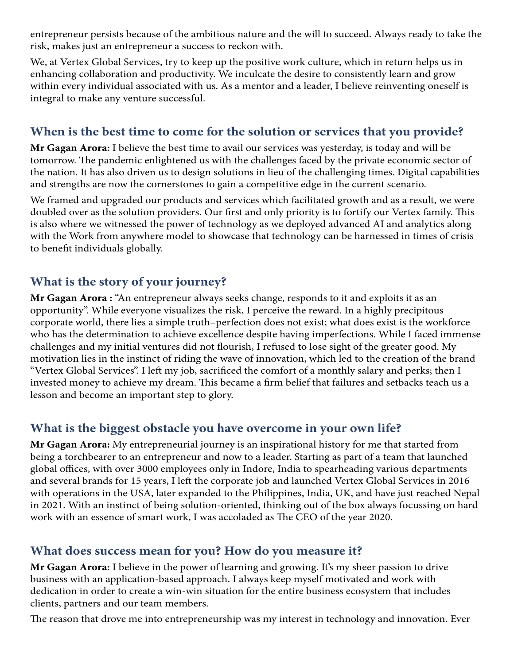entrepreneur persists because of the ambitious nature and the will to succeed. Always ready to take the risk, makes just an entrepreneur a success to reckon with.

We, at Vertex Global Services, try to keep up the positive work culture, which in return helps us in enhancing collaboration and productivity. We inculcate the desire to consistently learn and grow within every individual associated with us. As a mentor and a leader, I believe reinventing oneself is integral to make any venture successful.

#### **When is the best time to come for the solution or services that you provide?**

**Mr Gagan Arora:** I believe the best time to avail our services was yesterday, is today and will be tomorrow. The pandemic enlightened us with the challenges faced by the private economic sector of the nation. It has also driven us to design solutions in lieu of the challenging times. Digital capabilities and strengths are now the cornerstones to gain a competitive edge in the current scenario.

We framed and upgraded our products and services which facilitated growth and as a result, we were doubled over as the solution providers. Our first and only priority is to fortify our Vertex family. This is also where we witnessed the power of technology as we deployed advanced AI and analytics along with the Work from anywhere model to showcase that technology can be harnessed in times of crisis to benefit individuals globally.

### **What is the story of your journey?**

**Mr Gagan Arora :** "An entrepreneur always seeks change, responds to it and exploits it as an opportunity". While everyone visualizes the risk, I perceive the reward. In a highly precipitous corporate world, there lies a simple truth–perfection does not exist; what does exist is the workforce who has the determination to achieve excellence despite having imperfections. While I faced immense challenges and my initial ventures did not flourish, I refused to lose sight of the greater good. My motivation lies in the instinct of riding the wave of innovation, which led to the creation of the brand "Vertex Global Services". I left my job, sacrificed the comfort of a monthly salary and perks; then I invested money to achieve my dream. This became a firm belief that failures and setbacks teach us a lesson and become an important step to glory.

#### **What is the biggest obstacle you have overcome in your own life?**

**Mr Gagan Arora:** My entrepreneurial journey is an inspirational history for me that started from being a torchbearer to an entrepreneur and now to a leader. Starting as part of a team that launched global offices, with over 3000 employees only in Indore, India to spearheading various departments and several brands for 15 years, I left the corporate job and launched Vertex Global Services in 2016 with operations in the USA, later expanded to the Philippines, India, UK, and have just reached Nepal in 2021. With an instinct of being solution-oriented, thinking out of the box always focussing on hard work with an essence of smart work, I was accoladed as The CEO of the year 2020.

#### **What does success mean for you? How do you measure it?**

**Mr Gagan Arora:** I believe in the power of learning and growing. It's my sheer passion to drive business with an application-based approach. I always keep myself motivated and work with dedication in order to create a win-win situation for the entire business ecosystem that includes clients, partners and our team members.

The reason that drove me into entrepreneurship was my interest in technology and innovation. Ever